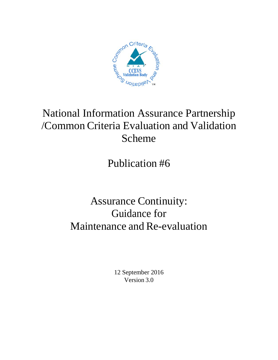

# National Information Assurance Partnership /Common Criteria Evaluation and Validation Scheme

Publication #6

# Assurance Continuity: Guidance for Maintenance and Re-evaluation

12 September 2016 Version 3.0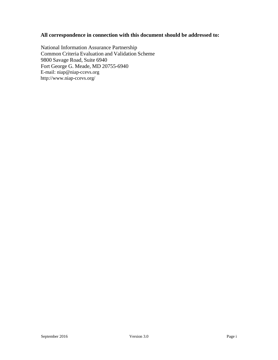## **All correspondence in connection with this document should be addressed to:**

National Information Assurance Partnership Common Criteria Evaluation and Validation Scheme 9800 Savage Road, Suite 6940 Fort George G. Meade, MD 20755-6940 E-mail: niap@niap-ccevs.org http://www.niap-ccevs.org/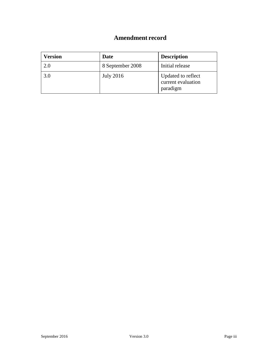# **Amendment record**

| Version | <b>Date</b>      | <b>Description</b>                                   |
|---------|------------------|------------------------------------------------------|
| 2.0     | 8 September 2008 | Initial release                                      |
| 3.0     | <b>July 2016</b> | Updated to reflect<br>current evaluation<br>paradigm |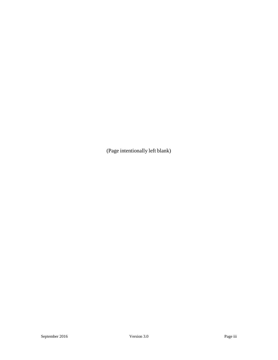(Page intentionally left blank)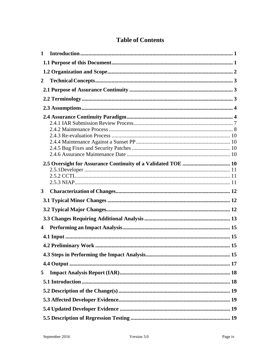## **Table of Contents**

| $\mathbf{1}$ |  |
|--------------|--|
|              |  |
|              |  |
| 2            |  |
|              |  |
|              |  |
|              |  |
|              |  |
|              |  |
|              |  |
|              |  |
|              |  |
|              |  |
|              |  |
|              |  |
|              |  |
|              |  |
|              |  |
| $\mathbf{3}$ |  |
|              |  |
|              |  |
|              |  |
| 4            |  |
|              |  |
|              |  |
|              |  |
|              |  |
| 5            |  |
|              |  |
|              |  |
|              |  |
|              |  |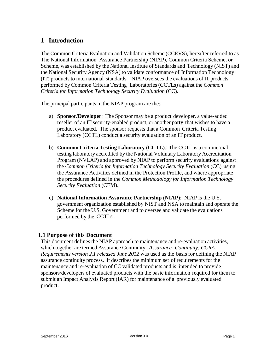# <span id="page-6-0"></span>**1 Introduction**

The Common Criteria Evaluation and Validation Scheme (CCEVS), hereafter referred to as The National Information Assurance Partnership (NIAP), Common Criteria Scheme, or Scheme, was established by the National Institute of Standards and Technology (NIST) and the National Security Agency (NSA) to validate conformance of Information Technology (IT) products to international standards. NIAP oversees the evaluations of IT products performed by Common Criteria Testing Laboratories (CCTLs) against the *Common Criteria for Information Technology Security Evaluation* (CC).

The principal participants in the NIAP program are the:

- a) **Sponsor/Developer**: The Sponsor may be a product developer, a value-added reseller of an IT security-enabled product, or another party that wishes to have a product evaluated. The sponsor requests that a Common Criteria Testing Laboratory (CCTL) conduct a security evaluation of an IT product.
- b) **Common Criteria Testing Laboratory (CCTL)**: The CCTL is a commercial testing laboratory accredited by the National Voluntary Laboratory Accreditation Program (NVLAP) and approved by NIAP to perform security evaluations against the *Common Criteria for Information Technology Security Evaluation* (CC) using the Assurance Activities defined in the Protection Profile, and where appropriate the procedures defined in the *Common Methodology for Information Technology Security Evaluation* (CEM).
- c) **National Information Assurance Partnership (NIAP**): NIAP is the U.S. government organization established by NIST and NSA to maintain and operate the Scheme for the U.S. Government and to oversee and validate the evaluations performed by the CCTLs.

## <span id="page-6-1"></span>**1.1 Purpose of this Document**

This document defines the NIAP approach to maintenance and re-evaluation activities, which together are termed Assurance Continuity. *Assurance Continuity: CCRA Requirements version 2.1 released June 2012* was used as the basis for defining the NIAP assurance continuity process. It describes the minimum set of requirements for the maintenance and re-evaluation of CC validated products and is intended to provide sponsors/developers of evaluated products with the basic information required for them to submit an Impact Analysis Report (IAR) for maintenance of a previously evaluated product.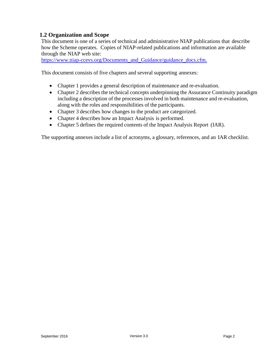## <span id="page-7-0"></span>**1.2 Organization and Scope**

This document is one of a series of technical and administrative NIAP publications that describe how the Scheme operates. Copies of NIAP-related publications and information are available through the NIAP web site:

[https://www.niap-ccevs.org/Documents\\_and\\_Guidance/guidance\\_docs.cfm.](https://www.niap-ccevs.org/Documents_and_Guidance/guidance_docs.cfm)

This document consists of five chapters and several supporting annexes:

- Chapter 1 provides a general description of maintenance and re-evaluation.
- Chapter 2 describes the technical concepts underpinning the Assurance Continuity paradigm including a description of the processes involved in both maintenance and re-evaluation, along with the roles and responsibilities of the participants.
- Chapter 3 describes how changes to the product are categorized.
- Chapter 4 describes how an Impact Analysis is performed.
- Chapter 5 defines the required contents of the Impact Analysis Report (IAR).

The supporting annexes include a list of acronyms, a glossary, references, and an IAR checklist.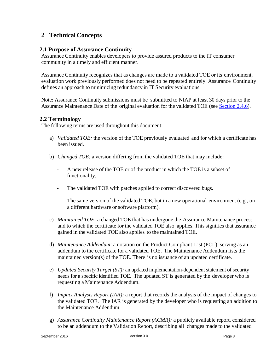## <span id="page-8-0"></span>**2 Technical Concepts**

## <span id="page-8-1"></span>**2.1 Purpose of Assurance Continuity**

Assurance Continuity enables developers to provide assured products to the IT consumer community in a timely and efficient manner.

Assurance Continuity recognizes that as changes are made to a validated TOE or its environment, evaluation work previously performed does not need to be repeated entirely. Assurance Continuity defines an approach to minimizing redundancy in IT Security evaluations.

Note: Assurance Continuity submissions must be submitted to NIAP at least 30 days prior to the Assurance Maintenance Date of the original evaluation for the validated TOE (see [Section 2.4.6\)](#page-15-3).

## <span id="page-8-2"></span>**2.2 Terminology**

The following terms are used throughout this document:

- a) *Validated TOE:* the version of the TOE previously evaluated and for which a certificate has been issued.
- b) *Changed TOE:* a version differing from the validated TOE that may include:
	- A new release of the TOE or of the product in which the TOE is a subset of functionality.
	- The validated TOE with patches applied to correct discovered bugs.
	- The same version of the validated TOE, but in a new operational environment (e.g., on a different hardware or software platform).
- c) *Maintained TOE:* a changed TOE that has undergone the Assurance Maintenance process and to which the certificate for the validated TOE also applies. This signifies that assurance gained in the validated TOE also applies to the maintained TOE.
- d) *Maintenance Addendum:* a notation on the Product Compliant List (PCL), serving as an addendum to the certificate for a validated TOE. The Maintenance Addendum lists the maintained version(s) of the TOE. There is no issuance of an updated certificate.
- e) *Updated Security Target (ST):* an updated implementation-dependent statement of security needs for a specific identified TOE. The updated ST is generated by the developer who is requesting a Maintenance Addendum.
- f) *Impact Analysis Report (IAR):* a report that records the analysis of the impact of changes to the validated TOE. The IAR is generated by the developer who is requesting an addition to the Maintenance Addendum.
- g) *Assurance Continuity Maintenance Report (ACMR):* a publicly available report, considered to be an addendum to the Validation Report, describing all changes made to the validated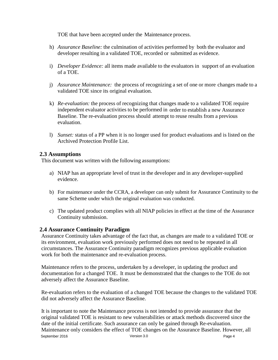TOE that have been accepted under the Maintenance process.

- h) *Assurance Baseline:* the culmination of activities performed by both the evaluator and developer resulting in a validated TOE, recorded or submitted as evidence.
- i) *Developer Evidence:* all items made available to the evaluators in support of an evaluation of a TOE.
- j) *Assurance Maintenance:* the process of recognizing a set of one or more changes made to a validated TOE since its original evaluation.
- k) *Re-evaluation:* the process of recognizing that changes made to a validated TOE require independent evaluator activities to be performed in order to establish a new Assurance Baseline. The re-evaluation process should attempt to reuse results from a previous evaluation.
- l) *Sunset:* status of a PP when it is no longer used for product evaluations and is listed on the Archived Protection Profile List.

## <span id="page-9-0"></span>**2.3 Assumptions**

This document was written with the following assumptions:

- a) NIAP has an appropriate level of trust in the developer and in any developer-supplied evidence.
- b) For maintenance under the CCRA, a developer can only submit for Assurance Continuity to the same Scheme under which the original evaluation was conducted.
- c) The updated product complies with all NIAP policies in effect at the time of the Assurance Continuity submission.

## <span id="page-9-1"></span>**2.4 Assurance Continuity Paradigm**

Assurance Continuity takes advantage of the fact that, as changes are made to a validated TOE or its environment, evaluation work previously performed does not need to be repeated in all circumstances. The Assurance Continuity paradigm recognizes previous applicable evaluation work for both the maintenance and re-evaluation process.

Maintenance refers to the process, undertaken by a developer, in updating the product and documentation for a changed TOE. It must be demonstrated that the changes to the TOE do not adversely affect the Assurance Baseline.

Re-evaluation refers to the evaluation of a changed TOE because the changes to the validated TOE did not adversely affect the Assurance Baseline.

It is important to note the Maintenance process is not intended to provide assurance that the original validated TOE is resistant to new vulnerabilities or attack methods discovered since the date of the initial certificate. Such assurance can only be gained through Re-evaluation. Maintenance only considers the effect of TOE changes on the Assurance Baseline. However, all September 2016 Version 3.0 Page 4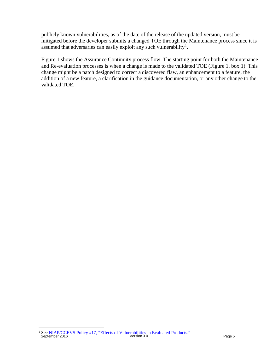publicly known vulnerabilities, as of the date of the release of the updated version, must be mitigated before the developer submits a changed TOE through the Maintenance process since it is assumed that adversaries can easily exploit any such vulnerability<sup>[1](#page-10-0)</sup>.

Figure 1 shows the Assurance Continuity process flow. The starting point for both the Maintenance and Re-evaluation processes is when a change is made to the validated TOE (Figure 1, box 1). This change might be a patch designed to correct a discovered flaw, an enhancement to a feature, the addition of a new feature, a clarification in the guidance documentation, or any other change to the validated TOE.

<span id="page-10-0"></span><sup>1</sup> See <u>NIAP/CCEVS Policy #17, "Effects of Vulnerabilities in Evaluated Products."</u><br>September 2016 Version 3.0 Page 5  $\overline{a}$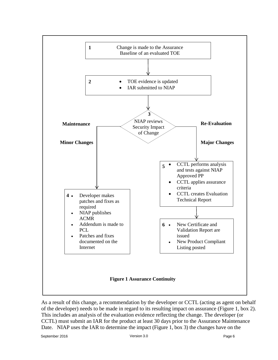

As a result of this change, a recommendation by the developer or CCTL (acting as agent on behalf of the developer) needs to be made in regard to its resulting impact on assurance (Figure 1, box 2). This includes an analysis of the evaluation evidence reflecting the change. The developer (or CCTL) must submit an IAR for the product at least 30 days prior to the Assurance Maintenance Date. NIAP uses the IAR to determine the impact (Figure 1, box 3) the changes have on the

September 2016 Version 3.0 Page 6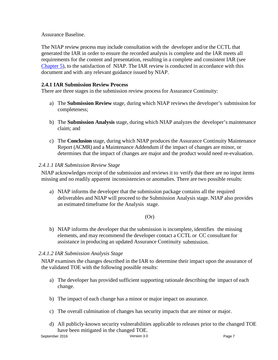Assurance Baseline.

The NIAP review process may include consultation with the developer and/or the CCTL that generated the IAR in order to ensure the recorded analysis is complete and the IAR meets all requirements for the content and presentation, resulting in a complete and consistent IAR (see [Chapter 5\)](#page-23-0), to the satisfaction of NIAP. The IAR review is conducted in accordance with this document and with any relevant guidance issued by NIAP.

## <span id="page-12-0"></span>**2.4.1 IAR Submission Review Process**

There are three stages in the submission review process for Assurance Continuity:

- a) The **Submission Review** stage, during which NIAP reviews the developer's submission for completeness;
- b) The **Submission Analysis** stage, during which NIAP analyzes the developer's maintenance claim; and
- c) The **Conclusion** stage, during which NIAP produces the Assurance Continuity Maintenance Report (ACMR) and a Maintenance Addendum if the impact of changes are minor, or determines that the impact of changes are major and the product would need re-evaluation.

## *2.4.1.1 IAR Submission Review Stage*

NIAP acknowledges receipt of the submission and reviews it to verify that there are no input items missing and no readily apparent inconsistencies or anomalies. There are two possible results:

a) NIAP informs the developer that the submission package contains all the required deliverables and NIAP will proceed to the Submission Analysis stage. NIAP also provides an estimated timeframe for the Analysis stage.

## (Or)

b) NIAP informs the developer that the submission is incomplete, identifies the missing elements, and may recommend the developer contact a CCTL or CC consultant for assistance in producing an updated Assurance Continuity submission.

## *2.4.1.2 IAR Submission Analysis Stage*

NIAP examines the changes described in the IAR to determine their impact upon the assurance of the validated TOE with the following possible results:

- a) The developer has provided sufficient supporting rationale describing the impact of each change.
- b) The impact of each change has a minor or major impact on assurance.
- c) The overall culmination of changes has security impacts that are minor or major.
- d) All publicly-known security vulnerabilities applicable to releases prior to the changed TOE have been mitigated in the changed TOE.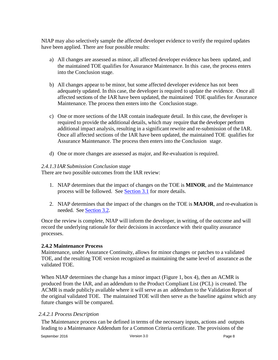NIAP may also selectively sample the affected developer evidence to verify the required updates have been applied. There are four possible results:

- a) All changes are assessed as minor, all affected developer evidence has been updated, and the maintained TOE qualifies for Assurance Maintenance. In this case, the process enters into the Conclusion stage.
- b) All changes appear to be minor, but some affected developer evidence has not been adequately updated. In this case, the developer is required to update the evidence. Once all affected sections of the IAR have been updated, the maintained TOE qualifies for Assurance Maintenance. The process then enters into the Conclusion stage.
- c) One or more sections of the IAR contain inadequate detail. In this case, the developer is required to provide the additional details, which may require that the developer perform additional impact analysis, resulting in a significant rewrite and re-submission of the IAR. Once all affected sections of the IAR have been updated, the maintained TOE qualifies for Assurance Maintenance. The process then enters into the Conclusion stage.
- d) One or more changes are assessed as major, and Re-evaluation is required.

## *2.4.1.3 IAR Submission Conclusion stage*

There are two possible outcomes from the IAR review:

- 1. NIAP determines that the impact of changes on the TOE is **MINOR**, and the Maintenance process will be followed. See [Section 3.1](#page-17-1) for more details.
- 2. NIAP determines that the impact of the changes on the TOE is **MAJOR**, and re-evaluation is needed. Se[e Section 3.2.](#page-17-2)

Once the review is complete, NIAP will inform the developer, in writing, of the outcome and will record the underlying rationale for their decisions in accordance with their quality assurance processes.

## <span id="page-13-0"></span>**2.4.2 Maintenance Process**

Maintenance, under Assurance Continuity, allows for minor changes or patches to a validated TOE, and the resulting TOE version recognized as maintaining the same level of assurance as the validated TOE.

When NIAP determines the change has a minor impact (Figure 1, box 4), then an ACMR is produced from the IAR, and an addendum to the Product Compliant List (PCL) is created. The ACMR is made publicly available where it will serve as an addendum to the Validation Report of the original validated TOE. The maintained TOE will then serve as the baseline against which any future changes will be compared.

## *2.4.2.1 Process Description*

The Maintenance process can be defined in terms of the necessary inputs, actions and outputs leading to a Maintenance Addendum for a Common Criteria certificate. The provisions of the

September 2016 Version 3.0 Page 8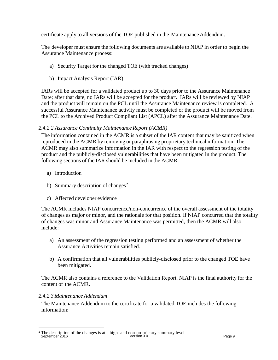certificate apply to all versions of the TOE published in the Maintenance Addendum.

The developer must ensure the following documents are available to NIAP in order to begin the Assurance Maintenance process:

- a) Security Target for the changed TOE (with tracked changes)
- b) Impact Analysis Report (IAR)

IARs will be accepted for a validated product up to 30 days prior to the Assurance Maintenance Date; after that date, no IARs will be accepted for the product. IARs will be reviewed by NIAP and the product will remain on the PCL until the Assurance Maintenance review is completed. A successful Assurance Maintenance activity must be completed or the product will be moved from the PCL to the Archived Product Compliant List (APCL) after the Assurance Maintenance Date.

## *2.4.2.2 Assurance Continuity Maintenance Report (ACMR)*

The information contained in the ACMR is a subset of the IAR content that may be sanitized when reproduced in the ACMR by removing or paraphrasing proprietary technical information. The ACMR may also summarize information in the IAR with respect to the regression testing of the product and the publicly-disclosed vulnerabilities that have been mitigated in the product. The following sections of the IAR should be included in the ACMR:

- a) Introduction
- b) Summary description of changes<sup>[2](#page-14-0)</sup>
- c) Affected developer evidence

The ACMR includes NIAP concurrence/non-concurrence of the overall assessment of the totality of changes as major or minor, and the rationale for that position. If NIAP concurred that the totality of changes was minor and Assurance Maintenance was permitted, then the ACMR will also include:

- a) An assessment of the regression testing performed and an assessment of whether the Assurance Activities remain satisfied.
- b) A confirmation that all vulnerabilities publicly-disclosed prior to the changed TOE have been mitigated.

The ACMR also contains a reference to the Validation Report**.** NIAP is the final authority for the content of the ACMR.

## *2.4.2.3 Maintenance Addendum*

 $\overline{a}$ 

The Maintenance Addendum to the certificate for a validated TOE includes the following information:

<span id="page-14-0"></span><sup>&</sup>lt;sup>2</sup> The description of the changes is at a high- and non-proprietary summary level.<br>September 2016 Version 3.0 Page 9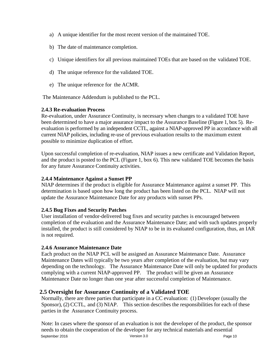- a) A unique identifier for the most recent version of the maintained TOE.
- b) The date of maintenance completion.
- c) Unique identifiers for all previous maintained TOEs that are based on the validated TOE.
- d) The unique reference for the validated TOE.
- e) The unique reference for the ACMR.

The Maintenance Addendum is published to the PCL.

## <span id="page-15-0"></span>**2.4.3 Re-evaluation Process**

Re-evaluation, under Assurance Continuity, is necessary when changes to a validated TOE have been determined to have a major assurance impact to the Assurance Baseline (Figure 1, box 5). Reevaluation is performed by an independent CCTL, against a NIAP-approved PP in accordance with all current NIAP policies, including re-use of previous evaluation results to the maximum extent possible to minimize duplication of effort.

Upon successful completion of re-evaluation, NIAP issues a new certificate and Validation Report, and the product is posted to the PCL (Figure 1, box 6). This new validated TOE becomes the basis for any future Assurance Continuity activities.

## <span id="page-15-1"></span>**2.4.4 Maintenance Against a Sunset PP**

NIAP determines if the product is eligible for Assurance Maintenance against a sunset PP. This determination is based upon how long the product has been listed on the PCL. NIAP will not update the Assurance Maintenance Date for any products with sunset PPs.

## <span id="page-15-2"></span>**2.4.5 Bug Fixes and Security Patches**

User installation of vendor-delivered bug fixes and security patches is encouraged between completion of the evaluation and the Assurance Maintenance Date; and with such updates properly installed, the product is still considered by NIAP to be in its evaluated configuration, thus, an IAR is not required.

## <span id="page-15-3"></span>**2.4.6 Assurance Maintenance Date**

Each product on the NIAP PCL will be assigned an Assurance Maintenance Date. Assurance Maintenance Dates will typically be two years after completion of the evaluation, but may vary depending on the technology. The Assurance Maintenance Date will only be updated for products complying with a current NIAP-approved PP. The product will be given an Assurance Maintenance Date no longer than one year after successful completion of Maintenance.

## <span id="page-15-4"></span>**2.5 Oversight for Assurance Continuity of a Validated TOE**

Normally, there are three parties that participate in a CC evaluation: (1) Developer (usually the Sponsor), (2) CCTL, and (3) NIAP. This section describes the responsibilities for each of these parties in the Assurance Continuity process.

Note: In cases where the sponsor of an evaluation is not the developer of the product, the sponsor needs to obtain the cooperation of the developer for any technical materials and essential September 2016 **Version 3.0** Page 10 Page 10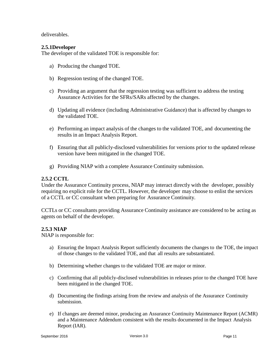deliverables.

## <span id="page-16-0"></span>**2.5.1Developer**

The developer of the validated TOE is responsible for:

- a) Producing the changed TOE.
- b) Regression testing of the changed TOE.
- c) Providing an argument that the regression testing was sufficient to address the testing Assurance Activities for the SFRs/SARs affected by the changes.
- d) Updating all evidence (including Administrative Guidance) that is affected by changes to the validated TOE.
- e) Performing an impact analysis of the changes to the validated TOE, and documenting the results in an Impact Analysis Report.
- f) Ensuring that all publicly-disclosed vulnerabilities for versions prior to the updated release version have been mitigated in the changed TOE.
- g) Providing NIAP with a complete Assurance Continuity submission.

## <span id="page-16-1"></span>**2.5.2 CCTL**

Under the Assurance Continuity process, NIAP may interact directly with the developer, possibly requiring no explicit role for the CCTL. However, the developer may choose to enlist the services of a CCTL or CC consultant when preparing for Assurance Continuity.

CCTLs or CC consultants providing Assurance Continuity assistance are considered to be acting as agents on behalf of the developer.

## <span id="page-16-2"></span>**2.5.3 NIAP**

NIAP is responsible for:

- a) Ensuring the Impact Analysis Report sufficiently documents the changes to the TOE, the impact of those changes to the validated TOE, and that all results are substantiated.
- b) Determining whether changes to the validated TOE are major or minor.
- c) Confirming that all publicly-disclosed vulnerabilities in releases prior to the changed TOE have been mitigated in the changed TOE.
- d) Documenting the findings arising from the review and analysis of the Assurance Continuity submission.
- e) If changes are deemed minor, producing an Assurance Continuity Maintenance Report (ACMR) and a Maintenance Addendum consistent with the results documented in the Impact Analysis Report (IAR).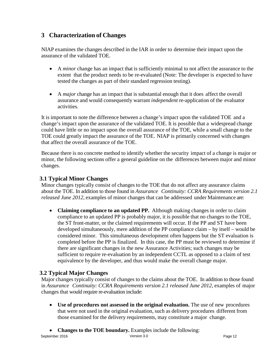## <span id="page-17-0"></span>**3 Characterization of Changes**

NIAP examines the changes described in the IAR in order to determine their impact upon the assurance of the validated TOE.

- A *minor* change has an impact that is sufficiently minimal to not affect the assurance to the extent that the product needs to be re-evaluated (Note: The developer is expected to have tested the changes as part of their standard regression testing).
- A *major* change has an impact that is substantial enough that it does affect the overall assurance and would consequently warrant *independent* re-application of the evaluator activities.

It is important to note the difference between a change's impact upon the validated TOE and a change's impact upon the assurance of the validated TOE. It is possible that a widespread change could have little or no impact upon the overall assurance of the TOE, while a small change to the TOE could greatly impact the assurance of the TOE. NIAP is primarily concerned with changes that affect the overall assurance of the TOE.

Because there is no concrete method to identify whether the security impact of a change is major or minor, the following sections offer a general guideline on the differences between major and minor changes.

## <span id="page-17-1"></span>**3.1 Typical Minor Changes**

Minor changes typically consist of changes to the TOE that do not affect any assurance claims about the TOE. In addition to those found in *Assurance Continuity: CCRA Requirements version 2.1 released June 2012*, examples of minor changes that can be addressed under Maintenance are:

• **Claiming compliance to an updated PP.** Although making changes in order to claim compliance to an updated PP is probably major, it is possible that no changes to the TOE, the ST front-matter, or the claimed requirements will occur. If the PP and ST have been developed simultaneously, mere addition of the PP compliance claim – by itself – would be considered minor. This simultaneous development often happens but the ST evaluation is completed before the PP is finalized. In this case, the PP must be reviewed to determine if there are significant changes in the new Assurance Activities; such changes may be sufficient to require re-evaluation by an independent CCTL as opposed to a claim of test equivalence by the developer, and thus would make the overall change major.

## <span id="page-17-2"></span>**3.2 Typical Major Changes**

Major changes typically consist of changes to the claims about the TOE. In addition to those found in *Assurance Continuity: CCRA Requirements version 2.1 released June 2012*, examples of major changes that would require re-evaluation include:

- **Use of procedures not assessed in the original evaluation.** The use of new procedures that were not used in the original evaluation, such as delivery procedures different from those examined for the delivery requirements, may constitute a major change.
- **Changes to the TOE boundary.** Examples include the following: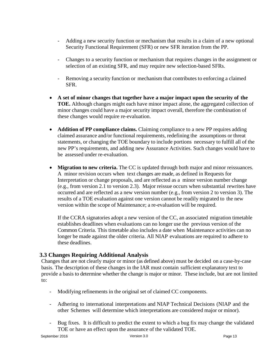- Adding a new security function or mechanism that results in a claim of a new optional Security Functional Requirement (SFR) or new SFR iteration from the PP.
- Changes to a security function or mechanism that requires changes in the assignment or selection of an existing SFR, and may require new selection-based SFRs.
- Removing a security function or mechanism that contributes to enforcing a claimed SFR.
- **A set of minor changes that together have a major impact upon the security of the TOE.** Although changes might each have minor impact alone, the aggregated collection of minor changes could have a major security impact overall, therefore the combination of these changes would require re-evaluation.
- **Addition of PP compliance claims.** Claiming compliance to a new PP requires adding claimed assurance and/or functional requirements, redefining the assumptions or threat statements, or changing the TOE boundary to include portions necessary to fulfill all of the new PP's requirements, and adding new Assurance Activities. Such changes would have to be assessed under re-evaluation.
- **Migration to new criteria.** The CC is updated through both major and minor reissuances. A minor revision occurs when text changes are made, as defined in Requests for Interpretation or change proposals, and are reflected as a minor version number change (e.g., from version 2.1 to version 2.3). Major reissue occurs when substantial rewrites have occurred and are reflected as a new version number (e.g., from version 2 to version 3). The results of a TOE evaluation against one version cannot be readily migrated to the new version within the scope of Maintenance; a re-evaluation will be required.

If the CCRA signatories adopt a new version of the CC, an associated migration timetable establishes deadlines when evaluations can no longer use the previous version of the Common Criteria. This timetable also includes a date when Maintenance activities can no longer be made against the older criteria. All NIAP evaluations are required to adhere to these deadlines.

## <span id="page-18-0"></span>**3.3 Changes Requiring Additional Analysis**

Changes that are not clearly major or minor (as defined above) must be decided on a case-by-case basis. The description of these changes in the IAR must contain sufficient explanatory text to provide a basis to determine whether the change is major or minor. These include, but are not limited to:

- Modifying refinements in the original set of claimed CC components.
- Adhering to international interpretations and NIAP Technical Decisions (NIAP and the other Schemes will determine which interpretations are considered major or minor).
- Bug fixes. It is difficult to predict the extent to which a bug fix may change the validated TOE or have an effect upon the assurance of the validated TOE.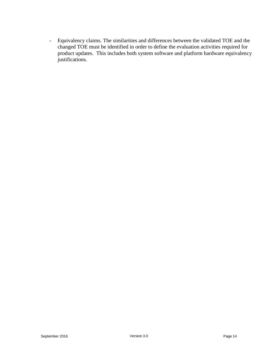- Equivalency claims. The similarities and differences between the validated TOE and the changed TOE must be identified in order to define the evaluation activities required for product updates. This includes both system software and platform hardware equivalency justifications.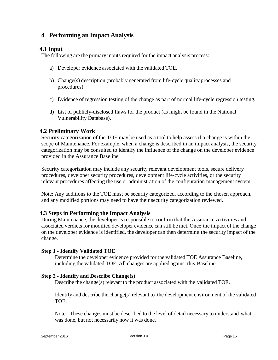## <span id="page-20-0"></span>**4 Performing an Impact Analysis**

## <span id="page-20-1"></span>**4.1 Input**

The following are the primary inputs required for the impact analysis process:

- a) Developer evidence associated with the validated TOE.
- b) Change(s) description (probably generated from life-cycle quality processes and procedures).
- c) Evidence of regression testing of the change as part of normal life-cycle regression testing.
- d) List of publicly-disclosed flaws for the product (as might be found in the National Vulnerability Database).

## <span id="page-20-2"></span>**4.2 Preliminary Work**

Security categorization of the TOE may be used as a tool to help assess if a change is within the scope of Maintenance. For example, when a change is described in an impact analysis, the security categorization may be consulted to identify the influence of the change on the developer evidence provided in the Assurance Baseline.

Security categorization may include any security relevant development tools, secure delivery procedures, developer security procedures, development life-cycle activities, or the security relevant procedures affecting the use or administration of the configuration management system.

Note: Any additions to the TOE must be security categorized, according to the chosen approach, and any modified portions may need to have their security categorization reviewed.

## <span id="page-20-3"></span>**4.3 Steps in Performing the Impact Analysis**

During Maintenance, the developer is responsible to confirm that the Assurance Activities and associated verdicts for modified developer evidence can still be met. Once the impact of the change on the developer evidence is identified, the developer can then determine the security impact of the change.

## **Step 1 - Identify Validated TOE**

Determine the developer evidence provided for the validated TOE Assurance Baseline, including the validated TOE. All changes are applied against this Baseline.

#### **Step 2 - Identify and Describe Change(s)**

Describe the change(s) relevant to the product associated with the validated TOE.

Identify and describe the change(s) relevant to the development environment of the validated TOE.

Note: These changes must be described to the level of detail necessary to understand what was done, but not necessarily how it was done.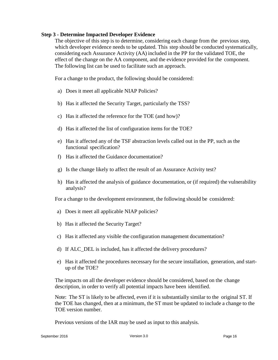## **Step 3 - Determine Impacted Developer Evidence**

The objective of this step is to determine, considering each change from the previous step, which developer evidence needs to be updated. This step should be conducted systematically, considering each Assurance Activity (AA) included in the PP for the validated TOE, the effect of the change on the AA component, and the evidence provided for the component. The following list can be used to facilitate such an approach.

For a change to the product, the following should be considered:

- a) Does it meet all applicable NIAP Policies?
- b) Has it affected the Security Target, particularly the TSS?
- c) Has it affected the reference for the TOE (and how)?
- d) Has it affected the list of configuration items for the TOE?
- e) Has it affected any of the TSF abstraction levels called out in the PP, such as the functional specification?
- f) Has it affected the Guidance documentation?
- g) Is the change likely to affect the result of an Assurance Activity test?
- h) Has it affected the analysis of guidance documentation, or (if required) the vulnerability analysis?

For a change to the development environment, the following should be considered:

- a) Does it meet all applicable NIAP policies?
- b) Has it affected the Security Target?
- c) Has it affected any visible the configuration management documentation?
- d) If ALC\_DEL is included, has it affected the delivery procedures?
- e) Has it affected the procedures necessary for the secure installation, generation, and startup of the TOE?

The impacts on all the developer evidence should be considered, based on the change description, in order to verify all potential impacts have been identified.

Note: The ST is likely to be affected, even if it is substantially similar to the original ST. If the TOE has changed, then at a minimum, the ST must be updated to include a change to the TOE version number.

Previous versions of the IAR may be used as input to this analysis.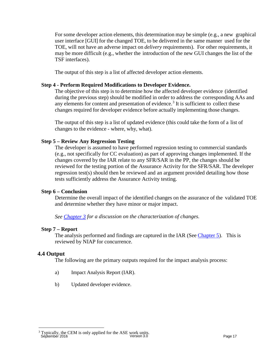For some developer action elements, this determination may be simple (e.g., a new graphical user interface [GUI] for the changed TOE, to be delivered in the same manner used for the TOE, will not have an adverse impact on *delivery* requirements). For other requirements, it may be more difficult (e.g., whether the introduction of the new GUI changes the list of the TSF interfaces).

The output of this step is a list of affected developer action elements.

#### **Step 4 - Perform Required Modifications to Developer Evidence.**

The objective of this step is to determine how the affected developer evidence (identified during the previous step) should be modified in order to address the corresponding AAs and any elements for content and presentation of evidence.<sup>[3](#page-22-2)</sup> It is sufficient to collect these changes required for developer evidence before actually implementing those changes.

The output of this step is a list of updated evidence (this could take the form of a list of changes to the evidence - where, why, what).

## **Step 5 – Review Any Regression Testing**

The developer is assumed to have performed regression testing to commercial standards (e.g., not specifically for CC evaluation) as part of approving changes implemented. If the changes covered by the IAR relate to any SFR/SAR in the PP, the changes should be reviewed for the testing portion of the Assurance Activity for the SFR/SAR. The developer regression test(s) should then be reviewed and an argument provided detailing how those tests sufficiently address the Assurance Activity testing.

#### **Step 6 – Conclusion**

Determine the overall impact of the identified changes on the assurance of the validated TOE and determine whether they have minor or major impact.

*See [Chapter 3](#page-17-0) for a discussion on the characterization of changes.*

#### **Step 7 – Report**

The analysis performed and findings are captured in the IAR (See [Chapter 5\)](#page-22-1). This is reviewed by NIAP for concurrence.

## <span id="page-22-0"></span>**4.4 Output**

 $\overline{a}$ 

The following are the primary outputs required for the impact analysis process:

- a) Impact Analysis Report (IAR).
- <span id="page-22-1"></span>b) Updated developer evidence.

<span id="page-22-2"></span><sup>&</sup>lt;sup>3</sup> Typically, the CEM is only applied for the ASE work units.<br>September 2016 Page 17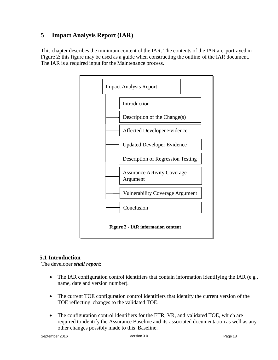# <span id="page-23-0"></span>**5 Impact Analysis Report (IAR)**

This chapter describes the minimum content of the IAR. The contents of the IAR are portrayed in Figure 2; this figure may be used as a guide when constructing the outline of the IAR document. The IAR is a required input for the Maintenance process.



## <span id="page-23-1"></span>**5.1 Introduction**

The developer *shall report*:

- The IAR configuration control identifiers that contain information identifying the IAR (e.g., name, date and version number).
- The current TOE configuration control identifiers that identify the current version of the TOE reflecting changes to the validated TOE.
- The configuration control identifiers for the ETR, VR, and validated TOE, which are required to identify the Assurance Baseline and its associated documentation as well as any other changes possibly made to this Baseline.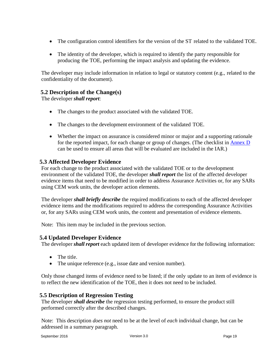- The configuration control identifiers for the version of the ST related to the validated TOE.
- The identity of the developer, which is required to identify the party responsible for producing the TOE, performing the impact analysis and updating the evidence.

The developer may include information in relation to legal or statutory content (e.g., related to the confidentiality of the document).

## <span id="page-24-0"></span>**5.2 Description of the Change(s)**

The developer *shall report*:

- The changes to the product associated with the validated TOE.
- The changes to the development environment of the validated TOE.
- Whether the impact on assurance is considered minor or major and a supporting rationale for the reported impact, for each change or group of changes. (The checklist in [Annex D](#page-30-0) can be used to ensure all areas that will be evaluated are included in the IAR.)

## <span id="page-24-1"></span>**5.3 Affected Developer Evidence**

For each change to the product associated with the validated TOE or to the development environment of the validated TOE, the developer *shall report* the list of the affected developer evidence items that need to be modified in order to address Assurance Activities or, for any SARs using CEM work units, the developer action elements.

The developer *shall briefly describe* the required modifications to each of the affected developer evidence items and the modifications required to address the corresponding Assurance Activities or, for any SARs using CEM work units, the content and presentation of evidence elements.

Note: This item may be included in the previous section.

## <span id="page-24-2"></span>**5.4 Updated Developer Evidence**

The developer *shall report* each updated item of developer evidence for the following information:

- The title.
- The unique reference (e.g., issue date and version number).

Only those changed items of evidence need to be listed; if the only update to an item of evidence is to reflect the new identification of the TOE, then it does not need to be included.

## <span id="page-24-3"></span>**5.5 Description of Regression Testing**

The developer *shall describe* the regression testing performed, to ensure the product still performed correctly after the described changes.

Note: This description *does not* need to be at the level of *each* individual change, but can be addressed in a summary paragraph.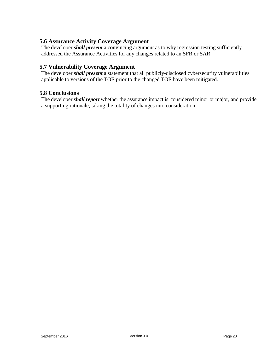## <span id="page-25-0"></span>**5.6 Assurance Activity Coverage Argument**

The developer *shall present* a convincing argument as to why regression testing sufficiently addressed the Assurance Activities for any changes related to an SFR or SAR.

## <span id="page-25-1"></span>**5.7 Vulnerability Coverage Argument**

The developer *shall present* a statement that all publicly-disclosed cybersecurity vulnerabilities applicable to versions of the TOE prior to the changed TOE have been mitigated.

## <span id="page-25-2"></span>**5.8 Conclusions**

The developer *shall report* whether the assurance impact is considered minor or major, and provide a supporting rationale, taking the totality of changes into consideration.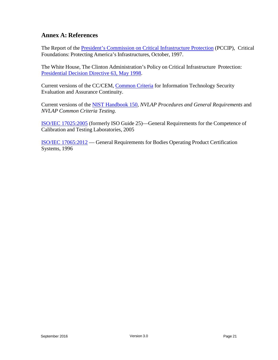## <span id="page-26-0"></span>**Annex A: References**

The Report of the [President's Commission on Critical Infrastructure Protection](http://www.fas.org/sgp/library/pccip.pdf) (PCCIP), Critical Foundations: Protecting America's Infrastructures, October, 1997.

The White House, The Clinton Administration's Policy on Critical Infrastructure Protection: [Presidential Decision Directive 63,](http://www.fas.org/irp/offdocs/pdd/pdd-63.htm) May 1998.

Current versions of the CC/CEM, [Common Criteria](http://www.commoncriteriaportal.org/cc/) for Information Technology Security Evaluation and Assurance Continuity.

Current versions of the [NIST Handbook 150,](http://www.nist.gov/nvlap/nvlap-handbooks.cfm) *NVLAP Procedures and General Requirements* and *NVLAP Common Criteria Testing*.

[ISO/IEC 17025:](http://www.iso.org/iso/iso_catalogue/catalogue_tc/catalogue_detail.htm?csnumber=39883)2005 (formerly ISO Guide 25)—General Requirements for the Competence of Calibration and Testing Laboratories, 2005

[ISO/IEC 17065:2012](http://www.iso.org/iso/home/store/catalogue_ics/catalogue_detail_ics.htm?csnumber=46568) — General Requirements for Bodies Operating Product Certification Systems, 1996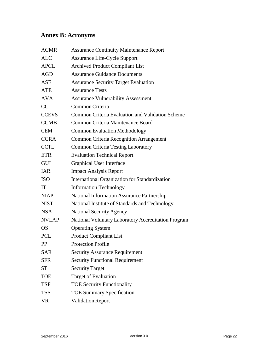# <span id="page-27-0"></span>**Annex B: Acronyms**

| <b>ACMR</b>  | <b>Assurance Continuity Maintenance Report</b>          |  |
|--------------|---------------------------------------------------------|--|
| <b>ALC</b>   | <b>Assurance Life-Cycle Support</b>                     |  |
| <b>APCL</b>  | <b>Archived Product Compliant List</b>                  |  |
| <b>AGD</b>   | <b>Assurance Guidance Documents</b>                     |  |
| <b>ASE</b>   | <b>Assurance Security Target Evaluation</b>             |  |
| <b>ATE</b>   | <b>Assurance Tests</b>                                  |  |
| <b>AVA</b>   | <b>Assurance Vulnerability Assessment</b>               |  |
| CC           | Common Criteria                                         |  |
| <b>CCEVS</b> | <b>Common Criteria Evaluation and Validation Scheme</b> |  |
| <b>CCMB</b>  | Common Criteria Maintenance Board                       |  |
| <b>CEM</b>   | <b>Common Evaluation Methodology</b>                    |  |
| <b>CCRA</b>  | <b>Common Criteria Recognition Arrangement</b>          |  |
| <b>CCTL</b>  | <b>Common Criteria Testing Laboratory</b>               |  |
| <b>ETR</b>   | <b>Evaluation Technical Report</b>                      |  |
| GUI          | <b>Graphical User Interface</b>                         |  |
| <b>IAR</b>   | <b>Impact Analysis Report</b>                           |  |
| <b>ISO</b>   | <b>International Organization for Standardization</b>   |  |
| IT           | <b>Information Technology</b>                           |  |
| <b>NIAP</b>  | <b>National Information Assurance Partnership</b>       |  |
| <b>NIST</b>  | National Institute of Standards and Technology          |  |
| <b>NSA</b>   | <b>National Security Agency</b>                         |  |
| <b>NVLAP</b> | National Voluntary Laboratory Accreditation Program     |  |
| <b>OS</b>    | <b>Operating System</b>                                 |  |
| <b>PCL</b>   | <b>Product Compliant List</b>                           |  |
| <b>PP</b>    | <b>Protection Profile</b>                               |  |
| SAR          | <b>Security Assurance Requirement</b>                   |  |
| <b>SFR</b>   | <b>Security Functional Requirement</b>                  |  |
| <b>ST</b>    | <b>Security Target</b>                                  |  |
| <b>TOE</b>   | <b>Target of Evaluation</b>                             |  |
| <b>TSF</b>   | <b>TOE Security Functionality</b>                       |  |
| <b>TSS</b>   | <b>TOE Summary Specification</b>                        |  |
| <b>VR</b>    | <b>Validation Report</b>                                |  |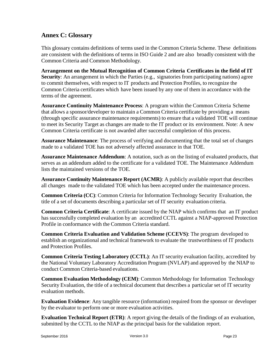## <span id="page-28-0"></span>**Annex C: Glossary**

This glossary contains definitions of terms used in the Common Criteria Scheme. These definitions are consistent with the definitions of terms in ISO Guide 2 and are also broadly consistent with the Common Criteria and Common Methodology.

**Arrangement on the Mutual Recognition of Common Criteria Certificates in the field of IT Security**: An arrangement in which the Parties (e.g., signatories from participating nations) agree to commit themselves, with respect to IT products and Protection Profiles, to recognize the Common Criteria certificates which have been issued by any one of them in accordance with the terms of the agreement.

**Assurance Continuity Maintenance Process**: A program within the Common Criteria Scheme that allows a sponsor/developer to maintain a Common Criteria certificate by providing a means (through specific assurance maintenance requirements) to ensure that a validated TOE will continue to meet its Security Target as changes are made to the IT product or its environment. Note: A new Common Criteria certificate is not awarded after successful completion of this process.

**Assurance Maintenance**: The process of verifying and documenting that the total set of changes made to a validated TOE has not adversely affected assurance in that TOE.

**Assurance Maintenance Addendum**: A notation, such as on the listing of evaluated products, that serves as an addendum added to the certificate for a validated TOE. The Maintenance Addendum lists the maintained versions of the TOE.

**Assurance Continuity Maintenance Report (ACMR)**: A publicly available report that describes all changes made to the validated TOE which has been accepted under the maintenance process.

**Common Criteria (CC)**: Common Criteria for Information Technology Security Evaluation, the title of a set of documents describing a particular set of IT security evaluation criteria.

**Common Criteria Certificate**: A certificate issued by the NIAP which confirms that an IT product has successfully completed evaluation by an accredited CCTL against a NIAP-approved Protection Profile in conformance with the Common Criteria standard.

**Common Criteria Evaluation and Validation Scheme (CCEVS)**: The program developed to establish an organizational and technical framework to evaluate the trustworthiness of IT products and Protection Profiles.

**Common Criteria Testing Laboratory (CCTL)**: An IT security evaluation facility, accredited by the National Voluntary Laboratory Accreditation Program (NVLAP) and approved by the NIAP to conduct Common Criteria-based evaluations.

**Common Evaluation Methodology (CEM)**: Common Methodology for Information Technology Security Evaluation, the title of a technical document that describes a particular set of IT security evaluation methods.

**Evaluation Evidence**: Any tangible resource (information) required from the sponsor or developer by the evaluator to perform one or more evaluation activities.

**Evaluation Technical Report (ETR)**: A report giving the details of the findings of an evaluation, submitted by the CCTL to the NIAP as the principal basis for the validation report.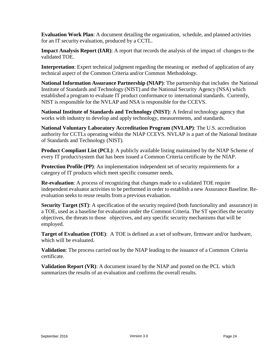**Evaluation Work Plan**: A document detailing the organization, schedule, and planned activities for an IT security evaluation, produced by a CCTL.

**Impact Analysis Report (IAR)**: A report that records the analysis of the impact of changes to the validated TOE.

**Interpretation**: Expert technical judgment regarding the meaning or method of application of any technical aspect of the Common Criteria and/or Common Methodology.

**National Information Assurance Partnership (NIAP)**: The partnership that includes the National Institute of Standards and Technology (NIST) and the National Security Agency (NSA) which established a program to evaluate IT product conformance to international standards. Currently, NIST is responsible for the NVLAP and NSA is responsible for the CCEVS.

**National Institute of Standards and Technology (NIST)**: A federal technology agency that works with industry to develop and apply technology, measurements, and standards.

**National Voluntary Laboratory Accreditation Program (NVLAP)**: The U.S. accreditation authority for CCTLs operating within the NIAP CCEVS. NVLAP is a part of the National Institute of Standards and Technology (NIST).

**Product Compliant List (PCL)**: A publicly available listing maintained by the NIAP Scheme of every IT product/system that has been issued a Common Criteria certificate by the NIAP.

**Protection Profile (PP)**: An implementation independent set of security requirements for a category of IT products which meet specific consumer needs.

**Re-evaluation**: A process of recognizing that changes made to a validated TOE require independent evaluator activities to be performed in order to establish a new Assurance Baseline. Reevaluation seeks to reuse results from a previous evaluation.

**Security Target (ST)**: A specification of the security required (both functionality and assurance) in a TOE, used as a baseline for evaluation under the Common Criteria. The ST specifies the security objectives, the threats to those objectives, and any specific security mechanisms that will be employed.

**Target of Evaluation (TOE)**: A TOE is defined as a set of software, firmware and/or hardware, which will be evaluated.

**Validation**: The process carried out by the NIAP leading to the issuance of a Common Criteria certificate.

**Validation Report (VR)**: A document issued by the NIAP and posted on the PCL which summarizes the results of an evaluation and confirms the overall results.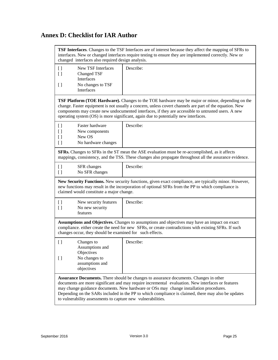# <span id="page-30-0"></span>**Annex D: Checklist for IAR Author**

| <b>TSF Interfaces.</b> Changes to the TSF Interfaces are of interest because they affect the mapping of SFRs to<br>interfaces. New or changed interfaces require testing to ensure they are implemented correctly. New or<br>changed interfaces also required design analysis.                                                                                                                                                                             |                                                                                               |           |  |
|------------------------------------------------------------------------------------------------------------------------------------------------------------------------------------------------------------------------------------------------------------------------------------------------------------------------------------------------------------------------------------------------------------------------------------------------------------|-----------------------------------------------------------------------------------------------|-----------|--|
| $[ \ ]$<br>$[ \ ]$<br>$[ \ ]$                                                                                                                                                                                                                                                                                                                                                                                                                              | New TSF Interfaces<br>Changed TSF<br>Interfaces<br>No changes to TSF<br>Interfaces            | Describe: |  |
| <b>TSF Platform (TOE Hardware).</b> Changes to the TOE hardware may be major or minor, depending on the<br>change. Faster equipment is not usually a concern, unless covert channels are part of the equation. New<br>components may create new undocumented interfaces, if they are accessible to untrusted users. A new<br>operating system (OS) is more significant, again due to potentially new interfaces.                                           |                                                                                               |           |  |
| $[ \ ]$<br>$[ \ ]$<br>$[ \ ]$<br>$[ \ ]$                                                                                                                                                                                                                                                                                                                                                                                                                   | Faster hardware<br>New components<br>New OS<br>No hardware changes                            | Describe: |  |
| <b>SFRs.</b> Changes to SFRs in the ST mean the ASE evaluation must be re-accomplished, as it affects<br>mappings, consistency, and the TSS. These changes also propagate throughout all the assurance evidence.                                                                                                                                                                                                                                           |                                                                                               |           |  |
| $[ \ ]$<br>$[ \ ]$                                                                                                                                                                                                                                                                                                                                                                                                                                         | SFR changes<br>No SFR changes                                                                 | Describe: |  |
| New Security Functions. New security functions, given exact compliance, are typically minor. However,<br>new functions may result in the incorporation of optional SFRs from the PP to which compliance is<br>claimed would constitute a major change.                                                                                                                                                                                                     |                                                                                               |           |  |
| $[ \ ]$<br>$\left[ \ \right]$                                                                                                                                                                                                                                                                                                                                                                                                                              | New security features<br>No new security<br>features                                          | Describe: |  |
| Assumptions and Objectives. Changes to assumptions and objectives may have an impact on exact<br>compliance. either create the need for new SFRs, or create contradictions with existing SFRs. If such<br>changes occur, they should be examined for such effects.                                                                                                                                                                                         |                                                                                               |           |  |
| $[ \ ]$<br>$[ \ ]$                                                                                                                                                                                                                                                                                                                                                                                                                                         | Changes to<br>Assumptions and<br>Objectives<br>No changes to<br>assumptions and<br>objectives | Describe: |  |
| Assurance Documents. There should be changes to assurance documents. Changes in other<br>documents are more significant and may require incremental evaluation. New interfaces or features<br>may change guidance documents. New hardware or OSs may change installation procedures.<br>Depending on the SARs included in the PP to which compliance is claimed, there may also be updates<br>to vulnerability assessments to capture new vulnerabilities. |                                                                                               |           |  |